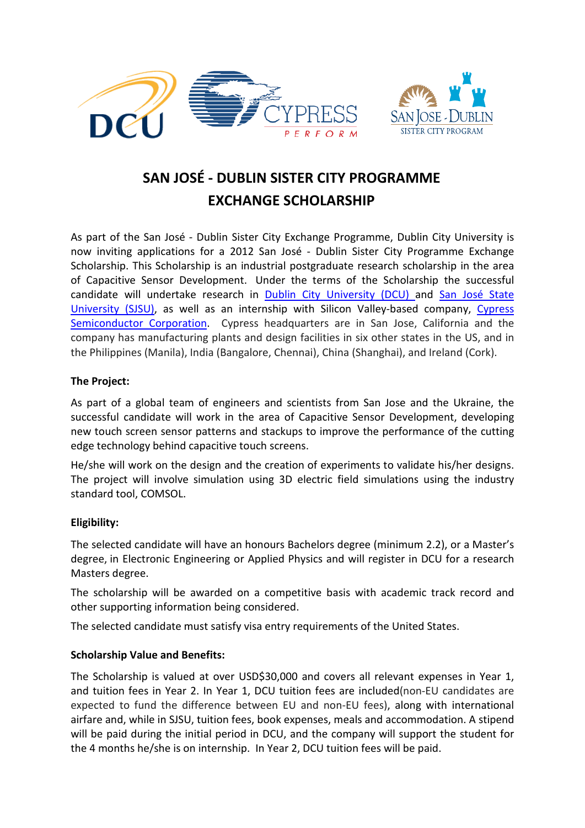



# **SAN JOSÉ - DUBLIN SISTER CITY PROGRAMME EXCHANGE SCHOLARSHIP**

As part of the San José - Dublin Sister City Exchange Programme, Dublin City University is now inviting applications for a 2012 San José - Dublin Sister City Programme Exchange Scholarship. This Scholarship is an industrial postgraduate research scholarship in the area of Capacitive Sensor Development. Under the terms of the Scholarship the successful candidate will undertake research in [Dublin City University \(DCU\) a](http://www.dcu.ie/)nd [San José State](http://www.sjsu.edu/)  [University \(SJSU\),](http://www.sjsu.edu/) as well as an internship with Silicon Valley-based company, [Cypress](http://www.cypress.com/)  [Semiconductor Corporation.](http://www.cypress.com/) Cypress headquarters are in San Jose, California and the company has manufacturing plants and design facilities in six other states in the US, and in the Philippines (Manila), India (Bangalore, Chennai), China (Shanghai), and Ireland (Cork).

## **The Project:**

As part of a global team of engineers and scientists from San Jose and the Ukraine, the successful candidate will work in the area of Capacitive Sensor Development, developing new touch screen sensor patterns and stackups to improve the performance of the cutting edge technology behind capacitive touch screens.

He/she will work on the design and the creation of experiments to validate his/her designs. The project will involve simulation using 3D electric field simulations using the industry standard tool, COMSOL.

# **Eligibility:**

The selected candidate will have an honours Bachelors degree (minimum 2.2), or a Master's degree, in Electronic Engineering or Applied Physics and will register in DCU for a research Masters degree.

The scholarship will be awarded on a competitive basis with academic track record and other supporting information being considered.

The selected candidate must satisfy visa entry requirements of the United States.

#### **Scholarship Value and Benefits:**

The Scholarship is valued at over USD\$30,000 and covers all relevant expenses in Year 1, and tuition fees in Year 2. In Year 1, DCU tuition fees are included(non-EU candidates are expected to fund the difference between EU and non-EU fees), along with international airfare and, while in SJSU, tuition fees, book expenses, meals and accommodation. A stipend will be paid during the initial period in DCU, and the company will support the student for the 4 months he/she is on internship. In Year 2, DCU tuition fees will be paid.